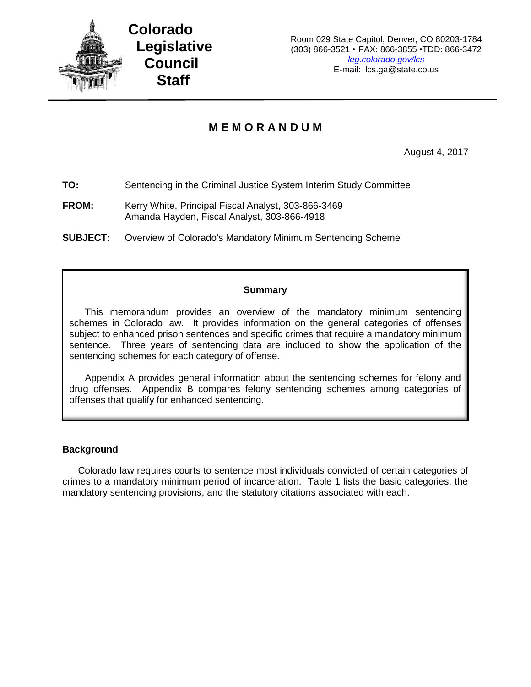

# **M E M O R A N D U M**

August 4, 2017

**TO:** Sentencing in the Criminal Justice System Interim Study Committee

**FROM:** Kerry White, Principal Fiscal Analyst, 303-866-3469 Amanda Hayden, Fiscal Analyst, 303-866-4918

**SUBJECT:** Overview of Colorado's Mandatory Minimum Sentencing Scheme

#### **Summary**

This memorandum provides an overview of the mandatory minimum sentencing schemes in Colorado law. It provides information on the general categories of offenses subject to enhanced prison sentences and specific crimes that require a mandatory minimum sentence. Three years of sentencing data are included to show the application of the sentencing schemes for each category of offense.

Appendix A provides general information about the sentencing schemes for felony and drug offenses. Appendix B compares felony sentencing schemes among categories of offenses that qualify for enhanced sentencing.

#### **Background**

Colorado law requires courts to sentence most individuals convicted of certain categories of crimes to a mandatory minimum period of incarceration. Table 1 lists the basic categories, the mandatory sentencing provisions, and the statutory citations associated with each.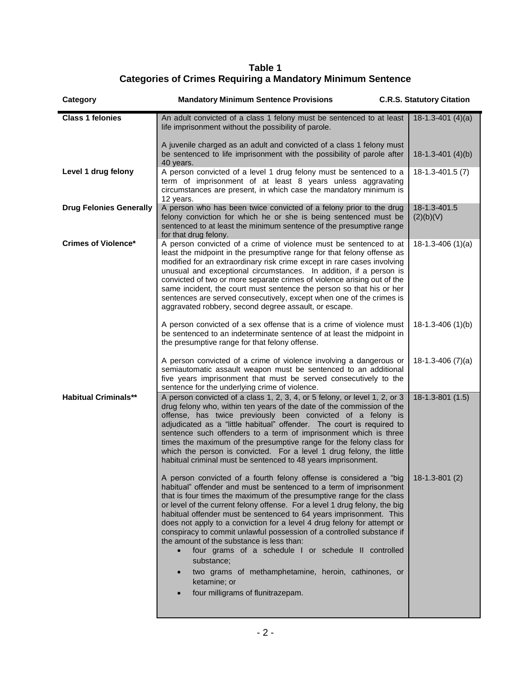**Table 1 Categories of Crimes Requiring a Mandatory Minimum Sentence**

| Category                       | <b>Mandatory Minimum Sentence Provisions</b>                                                                                                                                                                                                                                                                                                                                                                                                                                                                                                                                                                                                                                                                                                                               | <b>C.R.S. Statutory Citation</b> |
|--------------------------------|----------------------------------------------------------------------------------------------------------------------------------------------------------------------------------------------------------------------------------------------------------------------------------------------------------------------------------------------------------------------------------------------------------------------------------------------------------------------------------------------------------------------------------------------------------------------------------------------------------------------------------------------------------------------------------------------------------------------------------------------------------------------------|----------------------------------|
| <b>Class 1 felonies</b>        | An adult convicted of a class 1 felony must be sentenced to at least<br>life imprisonment without the possibility of parole.                                                                                                                                                                                                                                                                                                                                                                                                                                                                                                                                                                                                                                               | $18-1.3-401(4)(a)$               |
|                                | A juvenile charged as an adult and convicted of a class 1 felony must<br>be sentenced to life imprisonment with the possibility of parole after<br>40 years.                                                                                                                                                                                                                                                                                                                                                                                                                                                                                                                                                                                                               | $18-1.3-401(4)(b)$               |
| Level 1 drug felony            | A person convicted of a level 1 drug felony must be sentenced to a<br>term of imprisonment of at least 8 years unless aggravating<br>circumstances are present, in which case the mandatory minimum is<br>12 years.                                                                                                                                                                                                                                                                                                                                                                                                                                                                                                                                                        | $18-1.3-401.5(7)$                |
| <b>Drug Felonies Generally</b> | A person who has been twice convicted of a felony prior to the drug<br>felony conviction for which he or she is being sentenced must be<br>sentenced to at least the minimum sentence of the presumptive range<br>for that drug felony.                                                                                                                                                                                                                                                                                                                                                                                                                                                                                                                                    | 18-1.3-401.5<br>(2)(b)(V)        |
| <b>Crimes of Violence*</b>     | A person convicted of a crime of violence must be sentenced to at<br>least the midpoint in the presumptive range for that felony offense as<br>modified for an extraordinary risk crime except in rare cases involving<br>unusual and exceptional circumstances. In addition, if a person is<br>convicted of two or more separate crimes of violence arising out of the<br>same incident, the court must sentence the person so that his or her<br>sentences are served consecutively, except when one of the crimes is<br>aggravated robbery, second degree assault, or escape.                                                                                                                                                                                           | $18-1.3-406(1)(a)$               |
|                                | A person convicted of a sex offense that is a crime of violence must<br>be sentenced to an indeterminate sentence of at least the midpoint in<br>the presumptive range for that felony offense.                                                                                                                                                                                                                                                                                                                                                                                                                                                                                                                                                                            | $18-1.3-406(1)(b)$               |
|                                | A person convicted of a crime of violence involving a dangerous or<br>semiautomatic assault weapon must be sentenced to an additional<br>five years imprisonment that must be served consecutively to the<br>sentence for the underlying crime of violence.                                                                                                                                                                                                                                                                                                                                                                                                                                                                                                                | $18-1.3-406(7)(a)$               |
| <b>Habitual Criminals**</b>    | A person convicted of a class 1, 2, 3, 4, or 5 felony, or level 1, 2, or 3<br>drug felony who, within ten years of the date of the commission of the<br>offense, has twice previously been convicted of a felony is<br>adjudicated as a "little habitual" offender. The court is required to<br>sentence such offenders to a term of imprisonment which is three<br>times the maximum of the presumptive range for the felony class for<br>which the person is convicted. For a level 1 drug felony, the little<br>habitual criminal must be sentenced to 48 years imprisonment.                                                                                                                                                                                           | $18-1.3-801(1.5)$                |
|                                | A person convicted of a fourth felony offense is considered a "big   18-1.3-801 (2)<br>habitual" offender and must be sentenced to a term of imprisonment<br>that is four times the maximum of the presumptive range for the class<br>or level of the current felony offense. For a level 1 drug felony, the big<br>habitual offender must be sentenced to 64 years imprisonment. This<br>does not apply to a conviction for a level 4 drug felony for attempt or<br>conspiracy to commit unlawful possession of a controlled substance if<br>the amount of the substance is less than:<br>four grams of a schedule I or schedule II controlled<br>substance;<br>two grams of methamphetamine, heroin, cathinones, or<br>ketamine; or<br>four milligrams of flunitrazepam. |                                  |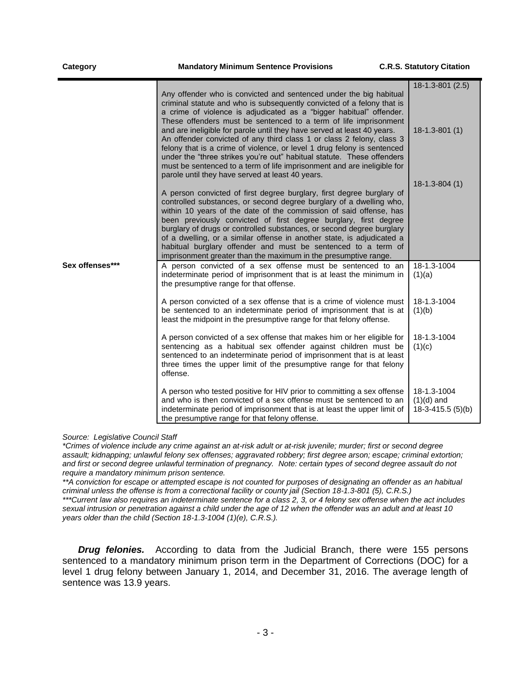|                 |                                                                                                                                                                                                                                                                                                                                                                                                                                                                                                                                                                                                                                                                                                                                 | 18-1.3-801 (2.5)                                 |
|-----------------|---------------------------------------------------------------------------------------------------------------------------------------------------------------------------------------------------------------------------------------------------------------------------------------------------------------------------------------------------------------------------------------------------------------------------------------------------------------------------------------------------------------------------------------------------------------------------------------------------------------------------------------------------------------------------------------------------------------------------------|--------------------------------------------------|
|                 | Any offender who is convicted and sentenced under the big habitual<br>criminal statute and who is subsequently convicted of a felony that is<br>a crime of violence is adjudicated as a "bigger habitual" offender.<br>These offenders must be sentenced to a term of life imprisonment<br>and are ineligible for parole until they have served at least 40 years.<br>An offender convicted of any third class 1 or class 2 felony, class 3<br>felony that is a crime of violence, or level 1 drug felony is sentenced<br>under the "three strikes you're out" habitual statute. These offenders<br>must be sentenced to a term of life imprisonment and are ineligible for<br>parole until they have served at least 40 years. | $18-1.3-801(1)$                                  |
|                 | A person convicted of first degree burglary, first degree burglary of<br>controlled substances, or second degree burglary of a dwelling who,<br>within 10 years of the date of the commission of said offense, has<br>been previously convicted of first degree burglary, first degree<br>burglary of drugs or controlled substances, or second degree burglary<br>of a dwelling, or a similar offense in another state, is adjudicated a<br>habitual burglary offender and must be sentenced to a term of<br>imprisonment greater than the maximum in the presumptive range.                                                                                                                                                   | $18-1.3-804(1)$                                  |
| Sex offenses*** | A person convicted of a sex offense must be sentenced to an<br>indeterminate period of imprisonment that is at least the minimum in<br>the presumptive range for that offense.                                                                                                                                                                                                                                                                                                                                                                                                                                                                                                                                                  | 18-1.3-1004<br>(1)(a)                            |
|                 | A person convicted of a sex offense that is a crime of violence must<br>be sentenced to an indeterminate period of imprisonment that is at<br>least the midpoint in the presumptive range for that felony offense.                                                                                                                                                                                                                                                                                                                                                                                                                                                                                                              | 18-1.3-1004<br>(1)(b)                            |
|                 | A person convicted of a sex offense that makes him or her eligible for<br>sentencing as a habitual sex offender against children must be<br>sentenced to an indeterminate period of imprisonment that is at least<br>three times the upper limit of the presumptive range for that felony<br>offense.                                                                                                                                                                                                                                                                                                                                                                                                                           | 18-1.3-1004<br>(1)(c)                            |
|                 | A person who tested positive for HIV prior to committing a sex offense<br>and who is then convicted of a sex offense must be sentenced to an<br>indeterminate period of imprisonment that is at least the upper limit of<br>the presumptive range for that felony offense.                                                                                                                                                                                                                                                                                                                                                                                                                                                      | 18-1.3-1004<br>$(1)(d)$ and<br>18-3-415.5 (5)(b) |

*Source: Legislative Council Staff*

*\*Crimes of violence include any crime against an at-risk adult or at-risk juvenile; murder; first or second degree assault; kidnapping; unlawful felony sex offenses; aggravated robbery; first degree arson; escape; criminal extortion; and first or second degree unlawful termination of pregnancy. Note: certain types of second degree assault do not require a mandatory minimum prison sentence.* 

*\*\*A conviction for escape or attempted escape is not counted for purposes of designating an offender as an habitual criminal unless the offense is from a correctional facility or county jail (Section 18-1.3-801 (5), C.R.S.)*

*\*\*\*Current law also requires an indeterminate sentence for a class 2, 3, or 4 felony sex offense when the act includes sexual intrusion or penetration against a child under the age of 12 when the offender was an adult and at least 10 years older than the child (Section 18-1.3-1004 (1)(e), C.R.S.).*

*Drug felonies.* According to data from the Judicial Branch, there were 155 persons sentenced to a mandatory minimum prison term in the Department of Corrections (DOC) for a level 1 drug felony between January 1, 2014, and December 31, 2016. The average length of sentence was 13.9 years.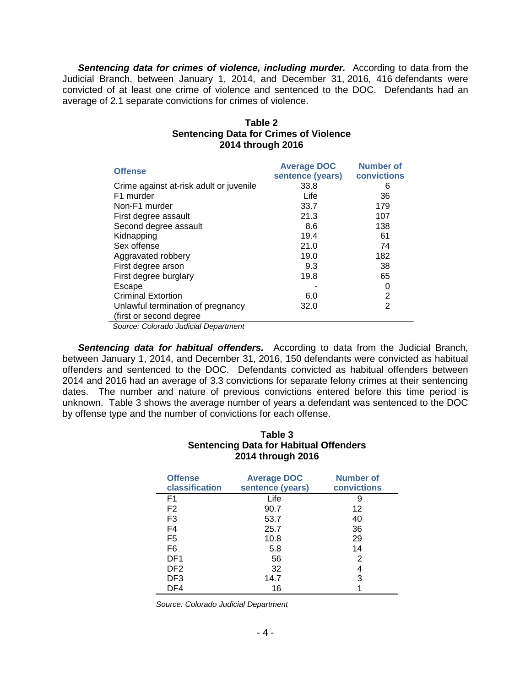**Sentencing data for crimes of violence, including murder.** According to data from the Judicial Branch, between January 1, 2014, and December 31, 2016, 416 defendants were convicted of at least one crime of violence and sentenced to the DOC. Defendants had an average of 2.1 separate convictions for crimes of violence.

| Table 2                                       |
|-----------------------------------------------|
| <b>Sentencing Data for Crimes of Violence</b> |
| 2014 through 2016                             |

| <b>Offense</b>                          | <b>Average DOC</b><br>sentence (years) | <b>Number of</b><br><b>convictions</b> |
|-----------------------------------------|----------------------------------------|----------------------------------------|
| Crime against at-risk adult or juvenile | 33.8                                   | 6                                      |
| F1 murder                               | Life                                   | 36                                     |
| Non-F1 murder                           | 33.7                                   | 179                                    |
| First degree assault                    | 21.3                                   | 107                                    |
| Second degree assault                   | 8.6                                    | 138                                    |
| Kidnapping                              | 19.4                                   | 61                                     |
| Sex offense                             | 21.0                                   | 74                                     |
| Aggravated robbery                      | 19.0                                   | 182                                    |
| First degree arson                      | 9.3                                    | 38                                     |
| First degree burglary                   | 19.8                                   | 65                                     |
| Escape                                  |                                        | 0                                      |
| <b>Criminal Extortion</b>               | 6.0                                    | 2                                      |
| Unlawful termination of pregnancy       | 32.0                                   | $\overline{2}$                         |
| (first or second degree)<br>. <b>.</b>  |                                        |                                        |

*Source: Colorado Judicial Department* 

**Sentencing data for habitual offenders.** According to data from the Judicial Branch, between January 1, 2014, and December 31, 2016, 150 defendants were convicted as habitual offenders and sentenced to the DOC. Defendants convicted as habitual offenders between 2014 and 2016 had an average of 3.3 convictions for separate felony crimes at their sentencing dates. The number and nature of previous convictions entered before this time period is unknown. Table 3 shows the average number of years a defendant was sentenced to the DOC by offense type and the number of convictions for each offense.

## **Table 3 Sentencing Data for Habitual Offenders 2014 through 2016**

| <b>Offense</b><br>classification | <b>Average DOC</b><br>sentence (years) | Number of<br>convictions |
|----------------------------------|----------------------------------------|--------------------------|
| F <sub>1</sub>                   | Life                                   | 9                        |
| F <sub>2</sub>                   | 90.7                                   | 12                       |
| F <sub>3</sub>                   | 53.7                                   | 40                       |
| F4                               | 25.7                                   | 36                       |
| F5                               | 10.8                                   | 29                       |
| F6                               | 5.8                                    | 14                       |
| DF <sub>1</sub>                  | 56                                     | 2                        |
| DF <sub>2</sub>                  | 32                                     | 4                        |
| DF3                              | 14.7                                   | 3                        |
| DF4                              | 16                                     |                          |

*Source: Colorado Judicial Department*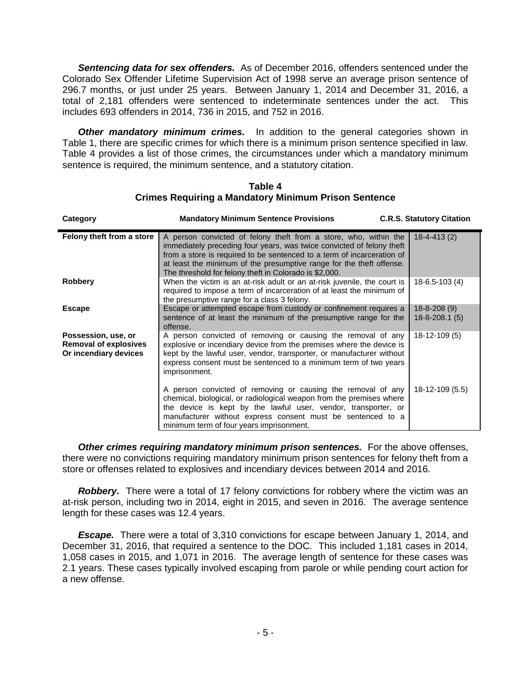*Sentencing data for sex offenders.* As of December 2016, offenders sentenced under the Colorado Sex Offender Lifetime Supervision Act of 1998 serve an average prison sentence of 296.7 months, or just under 25 years. Between January 1, 2014 and December 31, 2016, a total of 2,181 offenders were sentenced to indeterminate sentences under the act. This includes 693 offenders in 2014, 736 in 2015, and 752 in 2016.

**Other mandatory minimum crimes.** In addition to the general categories shown in Table 1, there are specific crimes for which there is a minimum prison sentence specified in law. Table 4 provides a list of those crimes, the circumstances under which a mandatory minimum sentence is required, the minimum sentence, and a statutory citation.

| Category                                                                     | <b>Mandatory Minimum Sentence Provisions</b>                                                                                                                                                                                                                                                                                                          | <b>C.R.S. Statutory Citation</b>         |
|------------------------------------------------------------------------------|-------------------------------------------------------------------------------------------------------------------------------------------------------------------------------------------------------------------------------------------------------------------------------------------------------------------------------------------------------|------------------------------------------|
| Felony theft from a store                                                    | A person convicted of felony theft from a store, who, within the<br>immediately preceding four years, was twice convicted of felony theft<br>from a store is required to be sentenced to a term of incarceration of<br>at least the minimum of the presumptive range for the theft offense.<br>The threshold for felony theft in Colorado is \$2,000. | $18 - 4 - 413(2)$                        |
| <b>Robbery</b>                                                               | When the victim is an at-risk adult or an at-risk juvenile, the court is<br>required to impose a term of incarceration of at least the minimum of<br>the presumptive range for a class 3 felony.                                                                                                                                                      | $18-6.5-103(4)$                          |
| <b>Escape</b>                                                                | Escape or attempted escape from custody or confinement requires a<br>sentence of at least the minimum of the presumptive range for the<br>offense.                                                                                                                                                                                                    | $18 - 8 - 208(9)$<br>$18 - 8 - 208.1(5)$ |
| Possession, use, or<br><b>Removal of explosives</b><br>Or incendiary devices | A person convicted of removing or causing the removal of any<br>explosive or incendiary device from the premises where the device is<br>kept by the lawful user, vendor, transporter, or manufacturer without<br>express consent must be sentenced to a minimum term of two years<br>imprisonment.                                                    | $18 - 12 - 109(5)$                       |
|                                                                              | A person convicted of removing or causing the removal of any<br>chemical, biological, or radiological weapon from the premises where<br>the device is kept by the lawful user, vendor, transporter, or<br>manufacturer without express consent must be sentenced to a<br>minimum term of four years imprisonment.                                     | 18-12-109 (5.5)                          |

**Table 4 Crimes Requiring a Mandatory Minimum Prison Sentence**

**Other crimes requiring mandatory minimum prison sentences.** For the above offenses, there were no convictions requiring mandatory minimum prison sentences for felony theft from a store or offenses related to explosives and incendiary devices between 2014 and 2016.

**Robbery.** There were a total of 17 felony convictions for robbery where the victim was an at-risk person, including two in 2014, eight in 2015, and seven in 2016. The average sentence length for these cases was 12.4 years.

*Escape.* There were a total of 3,310 convictions for escape between January 1, 2014, and December 31, 2016, that required a sentence to the DOC. This included 1,181 cases in 2014, 1,058 cases in 2015, and 1,071 in 2016. The average length of sentence for these cases was 2.1 years. These cases typically involved escaping from parole or while pending court action for a new offense.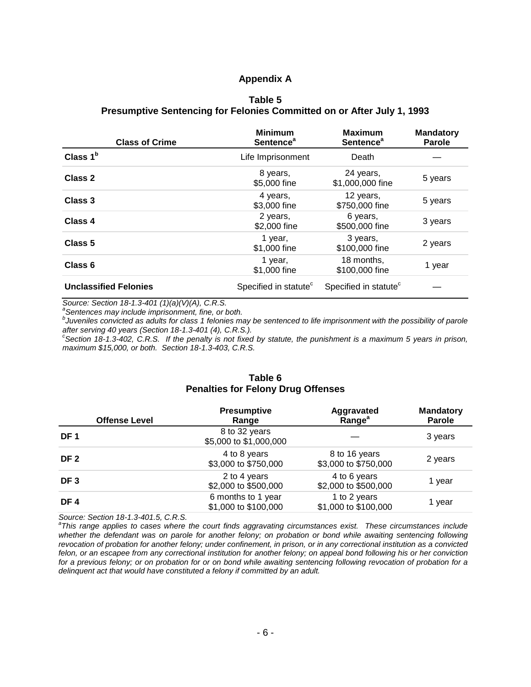#### **Appendix A**

#### **Table 5 Presumptive Sentencing for Felonies Committed on or After July 1, 1993**

| <b>Class of Crime</b>        | <b>Minimum</b><br>Sentence <sup>a</sup> | <b>Maximum</b><br>Sentence <sup>a</sup> | <b>Mandatory</b><br><b>Parole</b> |
|------------------------------|-----------------------------------------|-----------------------------------------|-----------------------------------|
| Class $1b$                   | Life Imprisonment                       | Death                                   |                                   |
| Class 2                      | 8 years,<br>\$5,000 fine                | 24 years,<br>\$1,000,000 fine           | 5 years                           |
| Class 3                      | 4 years,<br>\$3,000 fine                | 12 years,<br>\$750,000 fine             | 5 years                           |
| Class 4                      | 2 years,<br>\$2,000 fine                | 6 years,<br>\$500,000 fine              | 3 years                           |
| Class <sub>5</sub>           | 1 year,<br>\$1,000 fine                 | 3 years,<br>\$100,000 fine              | 2 years                           |
| Class 6                      | 1 year,<br>\$1,000 fine                 | 18 months,<br>\$100,000 fine            | 1 year                            |
| <b>Unclassified Felonies</b> | Specified in statute <sup>c</sup>       | Specified in statute <sup>c</sup>       |                                   |

*Source: Section 18-1.3-401 (1)(a)(V)(A), C.R.S.*

*a Sentences may include imprisonment, fine, or both.*

*b Juveniles convicted as adults for class 1 felonies may be sentenced to life imprisonment with the possibility of parole after serving 40 years (Section 18-1.3-401 (4), C.R.S.). c Section 18-1.3-402, C.R.S. If the penalty is not fixed by statute, the punishment is a maximum 5 years in prison,* 

*maximum \$15,000, or both. Section 18-1.3-403, C.R.S.*

#### **Table 6 Penalties for Felony Drug Offenses**

| <b>Offense Level</b> | <b>Presumptive</b><br>Range                | Aggravated<br>Range <sup>a</sup>      | <b>Mandatory</b><br><b>Parole</b> |
|----------------------|--------------------------------------------|---------------------------------------|-----------------------------------|
| DF <sub>1</sub>      | 8 to 32 years<br>\$5,000 to \$1,000,000    |                                       | 3 years                           |
| DF <sub>2</sub>      | 4 to 8 years<br>\$3,000 to \$750,000       | 8 to 16 years<br>\$3,000 to \$750,000 | 2 years                           |
| DF <sub>3</sub>      | 2 to 4 years<br>\$2,000 to \$500,000       | 4 to 6 years<br>\$2,000 to \$500,000  | 1 year                            |
| DF4                  | 6 months to 1 year<br>\$1,000 to \$100,000 | 1 to 2 years<br>\$1,000 to \$100,000  | 1 year                            |

*Source: Section 18-1.3-401.5, C.R.S. a This range applies to cases where the court finds aggravating circumstances exist. These circumstances include whether the defendant was on parole for another felony; on probation or bond while awaiting sentencing following revocation of probation for another felony; under confinement, in prison, or in any correctional institution as a convicted felon, or an escapee from any correctional institution for another felony; on appeal bond following his or her conviction for a previous felony; or on probation for or on bond while awaiting sentencing following revocation of probation for a delinquent act that would have constituted a felony if committed by an adult.*